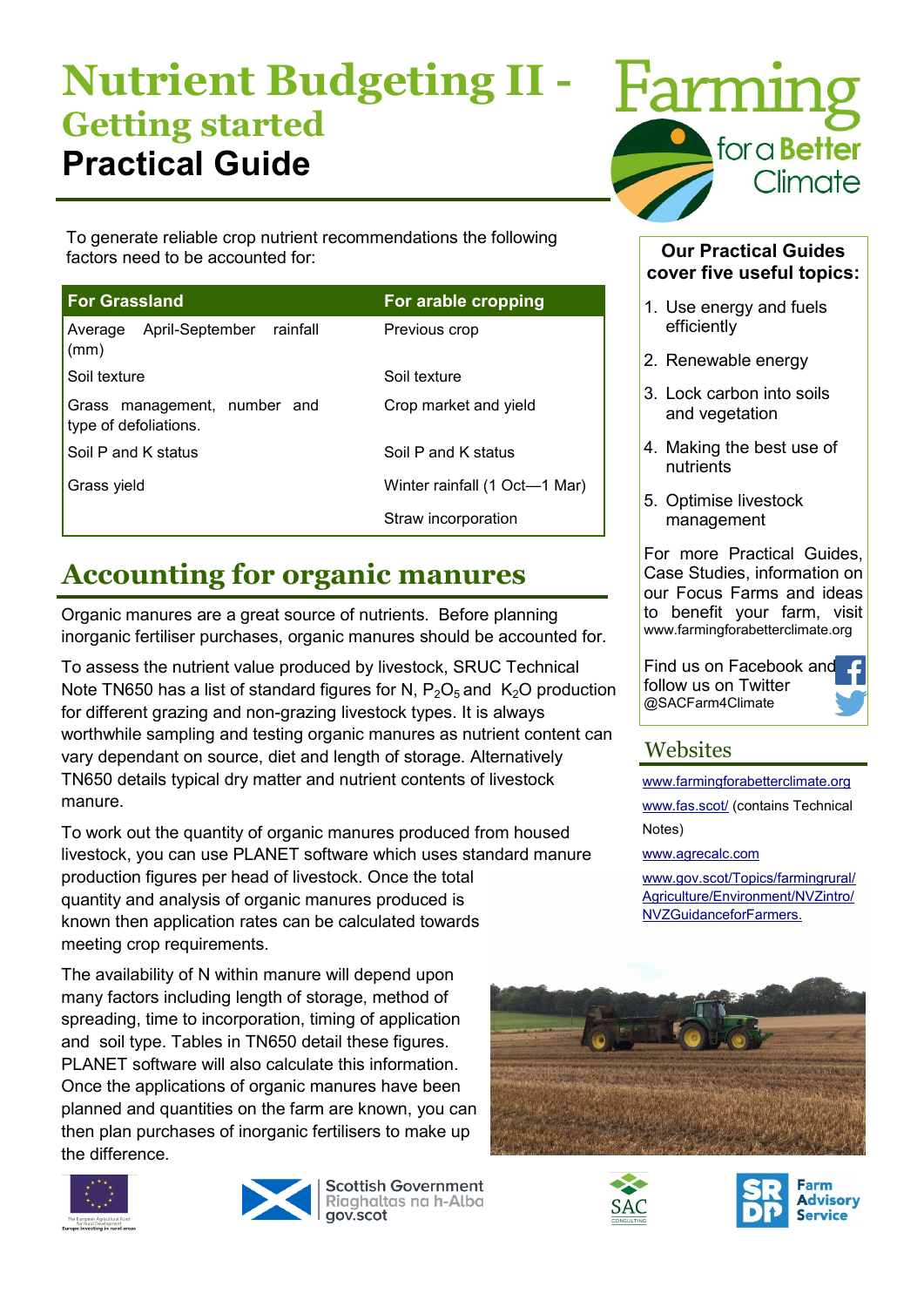# **Nutrient Budgeting II - Getting started Practical Guide**

To generate reliable crop nutrient recommendations the following factors need to be accounted for:

| <b>For Grassland</b>                                  | For arable cropping           |
|-------------------------------------------------------|-------------------------------|
| April-September rainfall<br>Average<br>(mm)           | Previous crop                 |
| Soil texture                                          | Soil texture                  |
| Grass management, number and<br>type of defoliations. | Crop market and yield         |
| Soil P and K status                                   | Soil P and K status           |
| Grass yield                                           | Winter rainfall (1 Oct—1 Mar) |
|                                                       | Straw incorporation           |

## **Accounting for organic manures**

Organic manures are a great source of nutrients. Before planning inorganic fertiliser purchases, organic manures should be accounted for.

To assess the nutrient value produced by livestock, SRUC Technical Note TN650 has a list of standard figures for N,  $P_2O_5$  and  $K_2O$  production for different grazing and non-grazing livestock types. It is always worthwhile sampling and testing organic manures as nutrient content can vary dependant on source, diet and length of storage. Alternatively TN650 details typical dry matter and nutrient contents of livestock manure.

To work out the quantity of organic manures produced from housed livestock, you can use PLANET software which uses standard manure production figures per head of livestock. Once the total quantity and analysis of organic manures produced is known then application rates can be calculated towards meeting crop requirements.

The availability of N within manure will depend upon many factors including length of storage, method of spreading, time to incorporation, timing of application and soil type. Tables in TN650 detail these figures. PLANET software will also calculate this information. Once the applications of organic manures have been planned and quantities on the farm are known, you can then plan purchases of inorganic fertilisers to make up the difference.





**Scottish Government** Riaghaltas na h-Alba gov.scot



#### **Our Practical Guides cover five useful topics:**

- 1. Use energy and fuels efficiently
- 2. Renewable energy
- 3. Lock carbon into soils and vegetation
- 4. Making the best use of nutrients
- 5. Optimise livestock management

For more Practical Guides, Case Studies, information on our Focus Farms and ideas to benefit your farm, visit www.farmingforabetterclimate.org

Find us on Facebook an[d](https://www.facebook.com/pages/Farming-for-a-Better-Climate/758125664249758)  follow us on Twitter @SACFarm4Climate

### **Websites**

[www.farmingforabetterclimate.org](http://www.farmingforabetterclimate.org) [www.fas.scot/](http://www.fas.scot/) (contains Technical Notes)

[www.agrecalc.com](http://www.agrecalc.com)

[www.gov.scot/Topics/farmingrural/](http://www.gov.scot/Topics/farmingrural/Agriculture/Environment/NVZintro/NVZGuidanceforFarmers.) [Agriculture/Environment/NVZintro/](http://www.gov.scot/Topics/farmingrural/Agriculture/Environment/NVZintro/NVZGuidanceforFarmers.) [NVZGuidanceforFarmers.](http://www.gov.scot/Topics/farmingrural/Agriculture/Environment/NVZintro/NVZGuidanceforFarmers.)